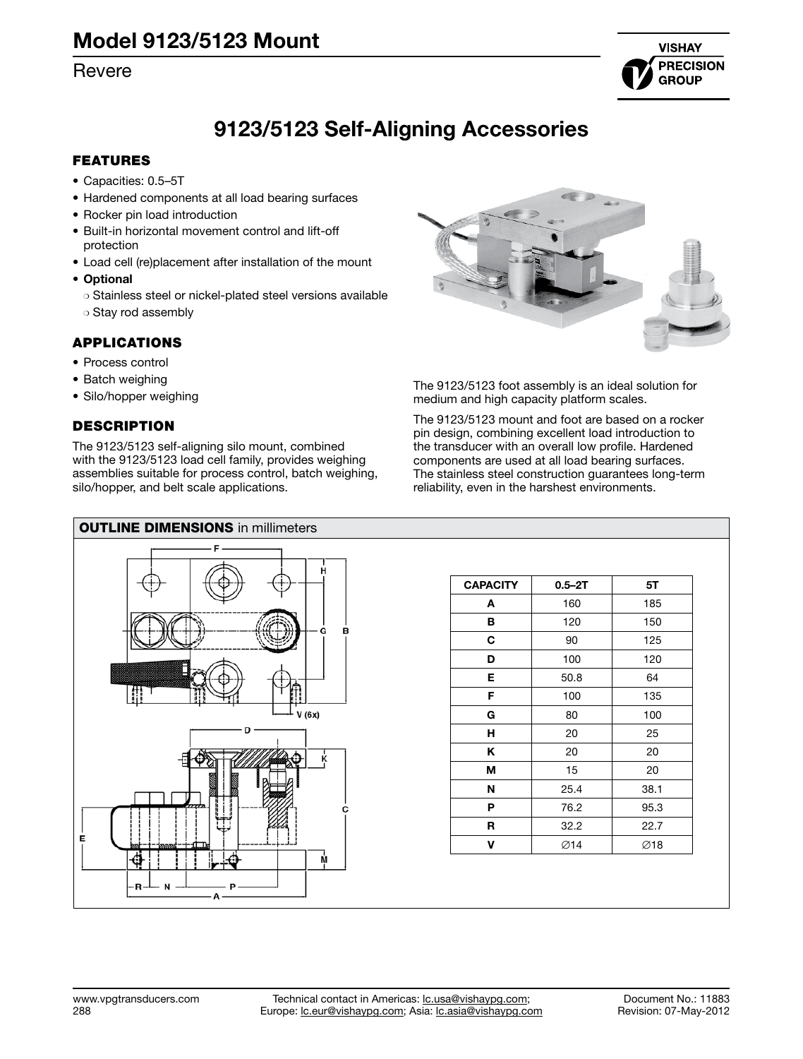# [Revere](http://www.vpgtransducers.com)



# 9123/5123 Self-Aligning Accessories

## FEATURES

- • Capacities: 0.5–5T
- Hardened components at all load bearing surfaces
- Rocker pin load introduction
- Built-in horizontal movement control and lift-off protection
- Load cell (re)placement after installation of the mount
- • Optional
	- ❍ Stainless steel or nickel-plated steel versions available ❍ Stay rod assembly

## APPLICATIONS

- Process control
- Batch weighing
- Silo/hopper weighing

# **DESCRIPTION**

The 9123/5123 self-aligning silo mount, combined with the 9123/5123 load cell family, provides weighing assemblies suitable for process control, batch weighing, silo/hopper, and belt scale applications.



The 9123/5123 foot assembly is an ideal solution for medium and high capacity platform scales.

The 9123/5123 mount and foot are based on a rocker pin design, combining excellent load introduction to the transducer with an overall low profile. Hardened components are used at all load bearing surfaces. The stainless steel construction guarantees long-term reliability, even in the harshest environments.



| <b>CAPACITY</b> | $0.5 - 2T$ | 5T   |
|-----------------|------------|------|
| A               | 160        | 185  |
| в               | 120        | 150  |
| C               | 90         | 125  |
| D               | 100        | 120  |
| Е               | 50.8       | 64   |
| F               | 100        | 135  |
| G               | 80         | 100  |
| н               | 20         | 25   |
| Κ               | 20         | 20   |
| М               | 15         | 20   |
| N               | 25.4       | 38.1 |
| P               | 76.2       | 95.3 |
| R               | 32.2       | 22.7 |
| v               | Ø14        | ∅18  |